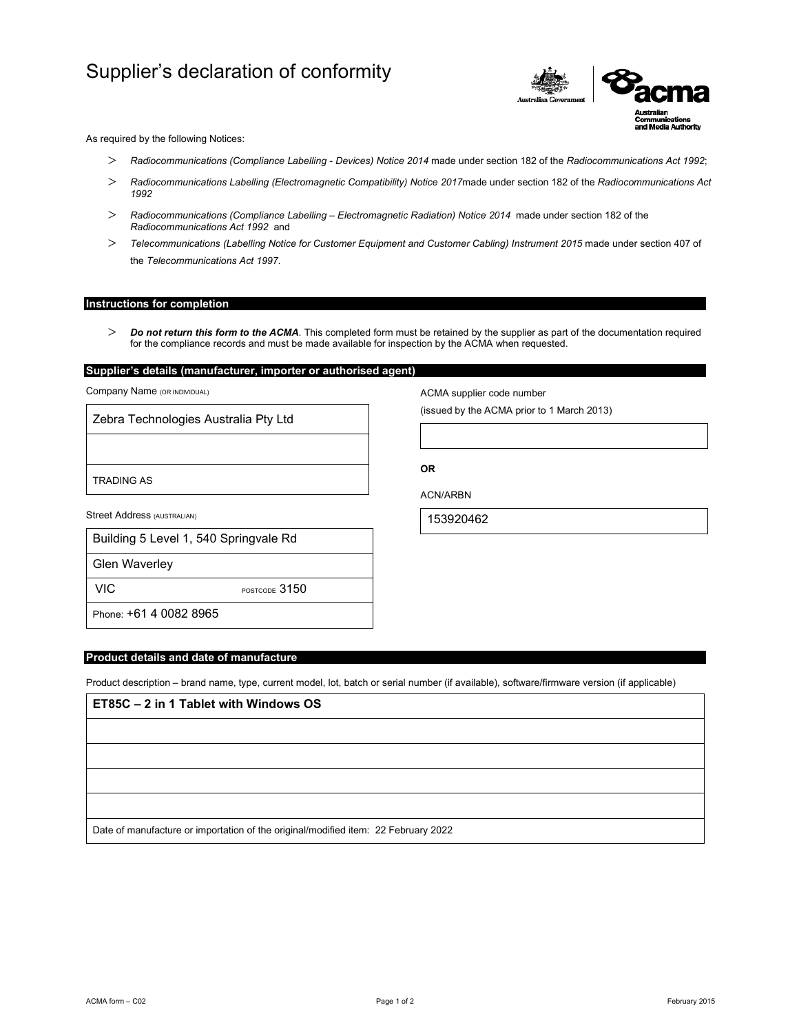# Supplier's declaration of conformity



As required by the following Notices:

- *Radiocommunications (Compliance Labelling Devices) Notice 2014* made under section 182 of the *Radiocommunications Act 1992*;
- *Radiocommunications Labelling (Electromagnetic Compatibility) Notice 2017*made under section 182 of the *Radiocommunications Act 1992*
- *Radiocommunications (Compliance Labelling Electromagnetic Radiation) Notice 2014* made under section 182 of the *Radiocommunications Act 1992* and
- *Telecommunications (Labelling Notice for Customer Equipment and Customer Cabling) Instrument 2015* made under section 407 of the *Telecommunications Act 1997*.

## **Instructions for completion**

 *Do not return this form to the ACMA*. This completed form must be retained by the supplier as part of the documentation required for the compliance records and must be made available for inspection by the ACMA when requested.

# **Supplier's details (manufacturer, importer or authorised agent)**

Company Name (OR INDIVIDUAL)

Zebra Technologies Australia Pty Ltd

TRADING AS

Street Address (AUSTRALIAN)

| Building 5 Level 1, 540 Springvale Rd |
|---------------------------------------|
|                                       |

Glen Waverley

VIC POSTCODE 3150

Phone: +61 4 0082 8965

## **Product details and date of manufacture**

Product description – brand name, type, current model, lot, batch or serial number (if available), software/firmware version (if applicable)

| ET85C - 2 in 1 Tablet with Windows OS                                              |  |  |
|------------------------------------------------------------------------------------|--|--|
|                                                                                    |  |  |
|                                                                                    |  |  |
|                                                                                    |  |  |
|                                                                                    |  |  |
| Date of manufacture or importation of the original/modified item: 22 February 2022 |  |  |

ACMA form – C02 Page 1 of 2 February 2015

ACMA supplier code number

(issued by the ACMA prior to 1 March 2013)

**OR** 

ACN/ARBN

153920462